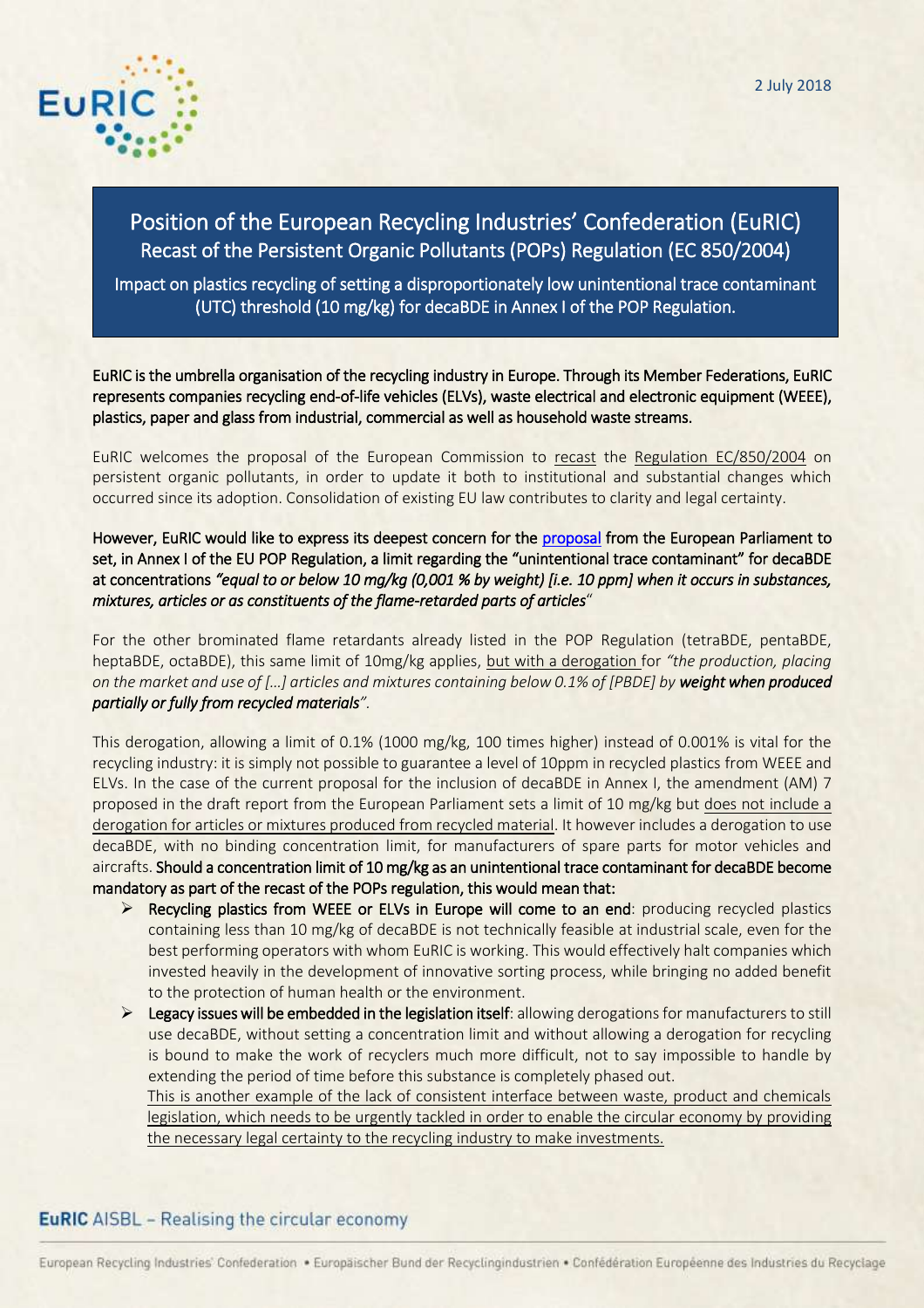

# Position of the European Recycling Industries' Confederation (EuRIC) Recast of the Persistent Organic Pollutants (POPs) Regulation (EC 850/2004)

Impact on plastics recycling of setting a disproportionately low unintentional trace contaminant (UTC) threshold (10 mg/kg) for decaBDE in Annex I of the POP Regulation.

EuRIC is the umbrella organisation of the recycling industry in Europe. Through its Member Federations, EuRIC represents companies recycling end-of-life vehicles (ELVs), waste electrical and electronic equipment (WEEE), plastics, paper and glass from industrial, commercial as well as household waste streams.

EuRIC welcomes the proposal of the European Commission to [recast](https://ec.europa.eu/info/law/better-regulation/initiatives/com-2018-144_en) the [Regulation EC/850/2004](https://eur-lex.europa.eu/LexUriServ/LexUriServ.do?uri=OJ:L:2004:158:0007:0049:EN:PDF) on persistent organic pollutants, in order to update it both to institutional and substantial changes which occurred since its adoption. Consolidation of existing EU law contributes to clarity and legal certainty.

### However, EuRIC would like to express its deepest concern for the [proposal](http://www.europarl.europa.eu/sides/getDoc.do?pubRef=-%2f%2fEP%2f%2fNONSGML%2bCOMPARL%2bPE-622.205%2b01%2bDOC%2bPDF%2bV0%2f%2fEN) from the European Parliament to set, in Annex I of the EU POP Regulation, a limit regarding the "unintentional trace contaminant" for decaBDE at concentrations *"equal to or below 10 mg/kg (0,001 % by weight) [i.e. 10 ppm] when it occurs in substances, mixtures, articles or as constituents of the flame-retarded parts of articles*"

For the other brominated flame retardants already listed in the POP Regulation (tetraBDE, pentaBDE, heptaBDE, octaBDE), this same limit of 10mg/kg applies, but with a derogation for *"the production, placing on the market and use of […] articles and mixtures containing below 0.1% of [PBDE] by weight when produced partially or fully from recycled materials".* 

This derogation, allowing a limit of 0.1% (1000 mg/kg, 100 times higher) instead of 0.001% is vital for the recycling industry: it is simply not possible to guarantee a level of 10ppm in recycled plastics from WEEE and ELVs. In the case of the current proposal for the inclusion of decaBDE in Annex I, the amendment (AM) 7 proposed in the draft report from the European Parliament sets a limit of 10 mg/kg but does not include a derogation for articles or mixtures produced from recycled material. It however includes a derogation to use decaBDE, with no binding concentration limit, for manufacturers of spare parts for motor vehicles and aircrafts. Should a concentration limit of 10 mg/kg as an unintentional trace contaminant for decaBDE become mandatory as part of the recast of the POPs regulation, this would mean that:

- $\triangleright$  Recycling plastics from WEEE or ELVs in Europe will come to an end: producing recycled plastics containing less than 10 mg/kg of decaBDE is not technically feasible at industrial scale, even for the best performing operators with whom EuRIC is working. This would effectively halt companies which invested heavily in the development of innovative sorting process, while bringing no added benefit to the protection of human health or the environment.
- $\triangleright$  Legacy issues will be embedded in the legislation itself: allowing derogations for manufacturers to still use decaBDE, without setting a concentration limit and without allowing a derogation for recycling is bound to make the work of recyclers much more difficult, not to say impossible to handle by extending the period of time before this substance is completely phased out.

This is another example of the lack of consistent interface between waste, product and chemicals legislation, which needs to be urgently tackled in order to enable the circular economy by providing the necessary legal certainty to the recycling industry to make investments.

# **EuRIC** AISBL - Realising the circular economy